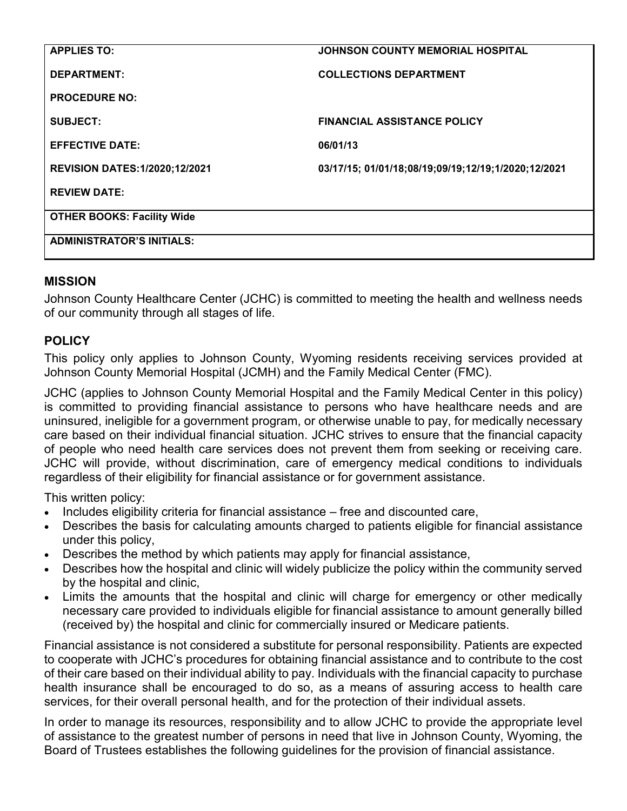| <b>APPLIES TO:</b>                   | <b>JOHNSON COUNTY MEMORIAL HOSPITAL</b>             |
|--------------------------------------|-----------------------------------------------------|
| <b>DEPARTMENT:</b>                   | <b>COLLECTIONS DEPARTMENT</b>                       |
| <b>PROCEDURE NO:</b>                 |                                                     |
| <b>SUBJECT:</b>                      | <b>FINANCIAL ASSISTANCE POLICY</b>                  |
| <b>EFFECTIVE DATE:</b>               | 06/01/13                                            |
| <b>REVISION DATES:1/2020;12/2021</b> | 03/17/15; 01/01/18;08/19;09/19;12/19;1/2020;12/2021 |
| <b>REVIEW DATE:</b>                  |                                                     |
| <b>OTHER BOOKS: Facility Wide</b>    |                                                     |
| <b>ADMINISTRATOR'S INITIALS:</b>     |                                                     |

### **MISSION**

Johnson County Healthcare Center (JCHC) is committed to meeting the health and wellness needs of our community through all stages of life.

### **POLICY**

This policy only applies to Johnson County, Wyoming residents receiving services provided at Johnson County Memorial Hospital (JCMH) and the Family Medical Center (FMC).

JCHC (applies to Johnson County Memorial Hospital and the Family Medical Center in this policy) is committed to providing financial assistance to persons who have healthcare needs and are uninsured, ineligible for a government program, or otherwise unable to pay, for medically necessary care based on their individual financial situation. JCHC strives to ensure that the financial capacity of people who need health care services does not prevent them from seeking or receiving care. JCHC will provide, without discrimination, care of emergency medical conditions to individuals regardless of their eligibility for financial assistance or for government assistance.

This written policy:

- Includes eligibility criteria for financial assistance free and discounted care,
- Describes the basis for calculating amounts charged to patients eligible for financial assistance under this policy,
- Describes the method by which patients may apply for financial assistance,
- Describes how the hospital and clinic will widely publicize the policy within the community served by the hospital and clinic,
- Limits the amounts that the hospital and clinic will charge for emergency or other medically necessary care provided to individuals eligible for financial assistance to amount generally billed (received by) the hospital and clinic for commercially insured or Medicare patients.

Financial assistance is not considered a substitute for personal responsibility. Patients are expected to cooperate with JCHC's procedures for obtaining financial assistance and to contribute to the cost of their care based on their individual ability to pay. Individuals with the financial capacity to purchase health insurance shall be encouraged to do so, as a means of assuring access to health care services, for their overall personal health, and for the protection of their individual assets.

In order to manage its resources, responsibility and to allow JCHC to provide the appropriate level of assistance to the greatest number of persons in need that live in Johnson County, Wyoming, the Board of Trustees establishes the following guidelines for the provision of financial assistance.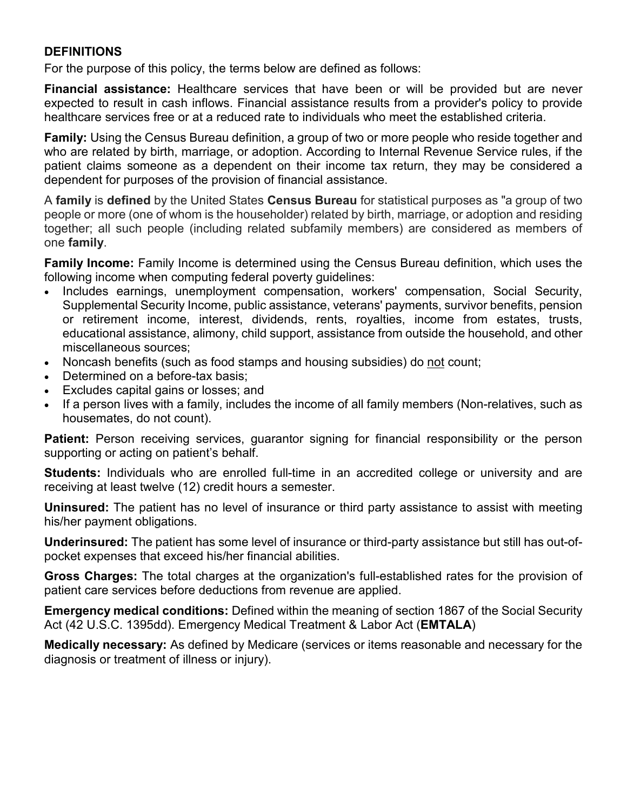#### **DEFINITIONS**

For the purpose of this policy, the terms below are defined as follows:

**Financial assistance:** Healthcare services that have been or will be provided but are never expected to result in cash inflows. Financial assistance results from a provider's policy to provide healthcare services free or at a reduced rate to individuals who meet the established criteria.

**Family:** Using the Census Bureau definition, a group of two or more people who reside together and who are related by birth, marriage, or adoption. According to Internal Revenue Service rules, if the patient claims someone as a dependent on their income tax return, they may be considered a dependent for purposes of the provision of financial assistance.

A **family** is **defined** by the United States **Census Bureau** for statistical purposes as "a group of two people or more (one of whom is the householder) related by birth, marriage, or adoption and residing together; all such people (including related subfamily members) are considered as members of one **family**.

**Family Income:** Family Income is determined using the Census Bureau definition, which uses the following income when computing federal poverty guidelines:

- Includes earnings, unemployment compensation, workers' compensation, Social Security, Supplemental Security Income, public assistance, veterans' payments, survivor benefits, pension or retirement income, interest, dividends, rents, royalties, income from estates, trusts, educational assistance, alimony, child support, assistance from outside the household, and other miscellaneous sources;
- Noncash benefits (such as food stamps and housing subsidies) do not count;
- Determined on a before-tax basis;
- Excludes capital gains or losses; and
- If a person lives with a family, includes the income of all family members (Non-relatives, such as housemates, do not count).

Patient: Person receiving services, guarantor signing for financial responsibility or the person supporting or acting on patient's behalf.

**Students:** Individuals who are enrolled full-time in an accredited college or university and are receiving at least twelve (12) credit hours a semester.

**Uninsured:** The patient has no level of insurance or third party assistance to assist with meeting his/her payment obligations.

**Underinsured:** The patient has some level of insurance or third-party assistance but still has out-ofpocket expenses that exceed his/her financial abilities.

**Gross Charges:** The total charges at the organization's full-established rates for the provision of patient care services before deductions from revenue are applied.

**Emergency medical conditions:** Defined within the meaning of section 1867 of the Social Security Act (42 U.S.C. 1395dd). Emergency Medical Treatment & Labor Act (**EMTALA**)

**Medically necessary:** As defined by Medicare (services or items reasonable and necessary for the diagnosis or treatment of illness or injury).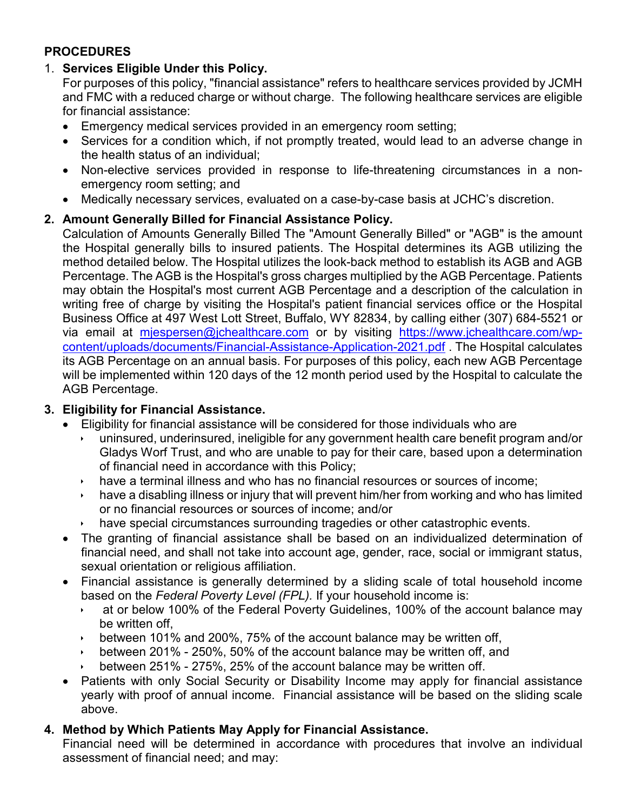### **PROCEDURES**

### 1. **Services Eligible Under this Policy.**

For purposes of this policy, "financial assistance" refers to healthcare services provided by JCMH and FMC with a reduced charge or without charge. The following healthcare services are eligible for financial assistance:

- Emergency medical services provided in an emergency room setting;
- Services for a condition which, if not promptly treated, would lead to an adverse change in the health status of an individual;
- Non-elective services provided in response to life-threatening circumstances in a nonemergency room setting; and
- Medically necessary services, evaluated on a case-by-case basis at JCHC's discretion.

# **2. Amount Generally Billed for Financial Assistance Policy.**

Calculation of Amounts Generally Billed The "Amount Generally Billed" or "AGB" is the amount the Hospital generally bills to insured patients. The Hospital determines its AGB utilizing the method detailed below. The Hospital utilizes the look-back method to establish its AGB and AGB Percentage. The AGB is the Hospital's gross charges multiplied by the AGB Percentage. Patients may obtain the Hospital's most current AGB Percentage and a description of the calculation in writing free of charge by visiting the Hospital's patient financial services office or the Hospital Business Office at 497 West Lott Street, Buffalo, WY 82834, by calling either (307) 684-5521 or via email at [mjespersen@jchealthcare.com](mailto:mjespersen@jchealthcare.com) or by visiting [https://www.jchealthcare.com/wp](https://www.jchealthcare.com/wp-content/uploads/documents/Financial-Assistance-Application-2021.pdf)[content/uploads/documents/Financial-Assistance-Application-2021.pdf](https://www.jchealthcare.com/wp-content/uploads/documents/Financial-Assistance-Application-2021.pdf) . The Hospital calculates its AGB Percentage on an annual basis. For purposes of this policy, each new AGB Percentage will be implemented within 120 days of the 12 month period used by the Hospital to calculate the AGB Percentage.

# **3. Eligibility for Financial Assistance.**

- Eligibility for financial assistance will be considered for those individuals who are
	- uninsured, underinsured, ineligible for any government health care benefit program and/or Gladys Worf Trust, and who are unable to pay for their care, based upon a determination of financial need in accordance with this Policy;
	- have a terminal illness and who has no financial resources or sources of income;
	- have a disabling illness or injury that will prevent him/her from working and who has limited or no financial resources or sources of income; and/or
	- have special circumstances surrounding tragedies or other catastrophic events.
- The granting of financial assistance shall be based on an individualized determination of financial need, and shall not take into account age, gender, race, social or immigrant status, sexual orientation or religious affiliation.
- Financial assistance is generally determined by a sliding scale of total household income based on the *Federal Poverty Level (FPL).* If your household income is:
	- at or below 100% of the Federal Poverty Guidelines, 100% of the account balance may be written off,
	- between 101% and 200%, 75% of the account balance may be written off,
	- between 201% 250%, 50% of the account balance may be written off, and
	- between 251% 275%, 25% of the account balance may be written off.
- Patients with only Social Security or Disability Income may apply for financial assistance yearly with proof of annual income. Financial assistance will be based on the sliding scale above.

### **4. Method by Which Patients May Apply for Financial Assistance.**

Financial need will be determined in accordance with procedures that involve an individual assessment of financial need; and may: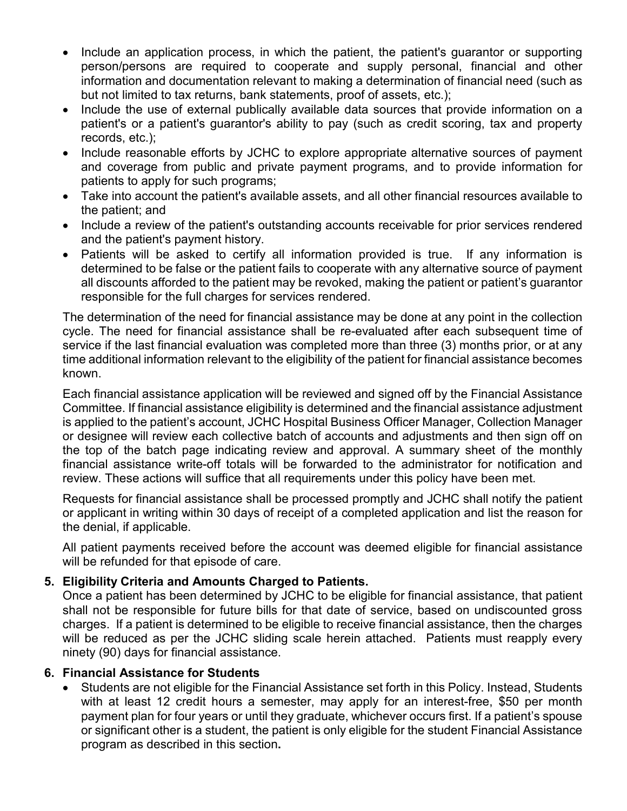- Include an application process, in which the patient, the patient's quarantor or supporting person/persons are required to cooperate and supply personal, financial and other information and documentation relevant to making a determination of financial need (such as but not limited to tax returns, bank statements, proof of assets, etc.);
- Include the use of external publically available data sources that provide information on a patient's or a patient's guarantor's ability to pay (such as credit scoring, tax and property records, etc.);
- Include reasonable efforts by JCHC to explore appropriate alternative sources of payment and coverage from public and private payment programs, and to provide information for patients to apply for such programs;
- Take into account the patient's available assets, and all other financial resources available to the patient; and
- Include a review of the patient's outstanding accounts receivable for prior services rendered and the patient's payment history.
- Patients will be asked to certify all information provided is true. If any information is determined to be false or the patient fails to cooperate with any alternative source of payment all discounts afforded to the patient may be revoked, making the patient or patient's guarantor responsible for the full charges for services rendered.

The determination of the need for financial assistance may be done at any point in the collection cycle. The need for financial assistance shall be re-evaluated after each subsequent time of service if the last financial evaluation was completed more than three (3) months prior, or at any time additional information relevant to the eligibility of the patient for financial assistance becomes known.

Each financial assistance application will be reviewed and signed off by the Financial Assistance Committee. If financial assistance eligibility is determined and the financial assistance adjustment is applied to the patient's account, JCHC Hospital Business Officer Manager, Collection Manager or designee will review each collective batch of accounts and adjustments and then sign off on the top of the batch page indicating review and approval. A summary sheet of the monthly financial assistance write-off totals will be forwarded to the administrator for notification and review. These actions will suffice that all requirements under this policy have been met.

Requests for financial assistance shall be processed promptly and JCHC shall notify the patient or applicant in writing within 30 days of receipt of a completed application and list the reason for the denial, if applicable.

All patient payments received before the account was deemed eligible for financial assistance will be refunded for that episode of care.

### **5. Eligibility Criteria and Amounts Charged to Patients.**

Once a patient has been determined by JCHC to be eligible for financial assistance, that patient shall not be responsible for future bills for that date of service, based on undiscounted gross charges. If a patient is determined to be eligible to receive financial assistance, then the charges will be reduced as per the JCHC sliding scale herein attached. Patients must reapply every ninety (90) days for financial assistance.

### **6. Financial Assistance for Students**

• Students are not eligible for the Financial Assistance set forth in this Policy. Instead, Students with at least 12 credit hours a semester, may apply for an interest-free, \$50 per month payment plan for four years or until they graduate, whichever occurs first. If a patient's spouse or significant other is a student, the patient is only eligible for the student Financial Assistance program as described in this section**.**